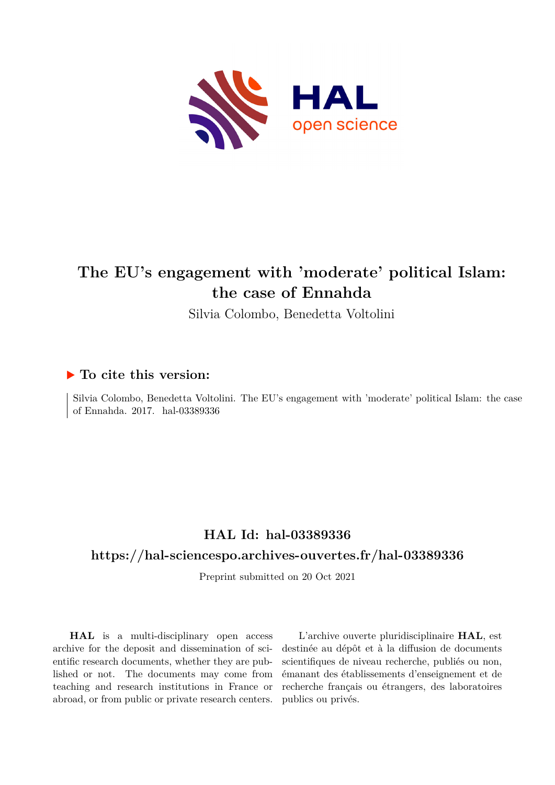

### **The EU's engagement with 'moderate' political Islam: the case of Ennahda**

Silvia Colombo, Benedetta Voltolini

#### **To cite this version:**

Silvia Colombo, Benedetta Voltolini. The EU's engagement with 'moderate' political Islam: the case of Ennahda. 2017. hal-03389336

#### **HAL Id: hal-03389336**

#### **<https://hal-sciencespo.archives-ouvertes.fr/hal-03389336>**

Preprint submitted on 20 Oct 2021

**HAL** is a multi-disciplinary open access archive for the deposit and dissemination of scientific research documents, whether they are published or not. The documents may come from teaching and research institutions in France or abroad, or from public or private research centers.

L'archive ouverte pluridisciplinaire **HAL**, est destinée au dépôt et à la diffusion de documents scientifiques de niveau recherche, publiés ou non, émanant des établissements d'enseignement et de recherche français ou étrangers, des laboratoires publics ou privés.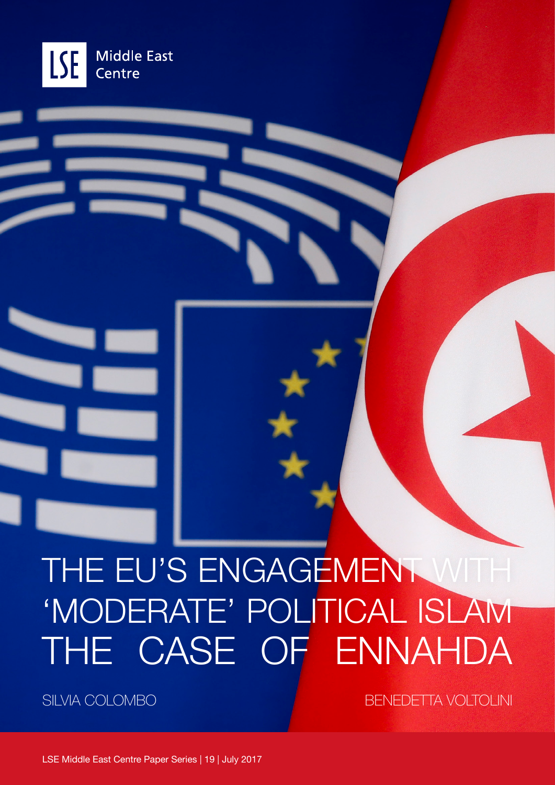

# THE EU'S ENGAGEMENT WITH 'MODERATE' POLITICAL ISLAM THE CASE OF ENNAHDA

SILVIA COLOMBO BENEDETTA VOLTOLINI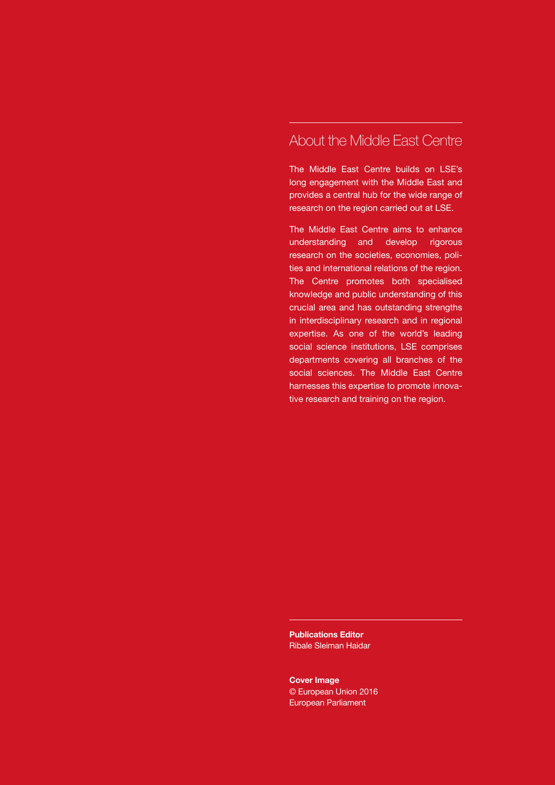#### About the Middle East Centre

The Middle East Centre builds on LSE's long engagement with the Middle East and provides a central hub for the wide range of research on the region carried out at LSE.

The Middle East Centre aims to enhance understanding and develop rigorous research on the societies, economies, polities and international relations of the region. The Centre promotes both specialised knowledge and public understanding of this crucial area and has outstanding strengths in interdisciplinary research and in regional expertise. As one of the world's leading social science institutions, LSE comprises departments covering all branches of the social sciences. The Middle East Centre harnesses this expertise to promote innovative research and training on the region.

**Publications Editor** Ribale Sleiman Haidar

**Cover Image** © European Union 2016 European Parliament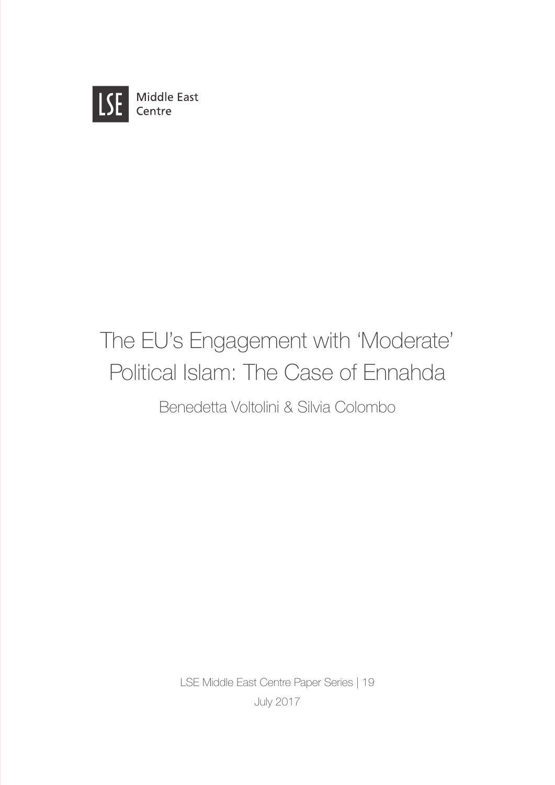

## The EU's Engagement with 'Moderate' Political Islam: The Case of Ennahda

Benedetta Voltolini & Silvia Colombo

LSE Middle East Centre Paper Series | 19 July 2017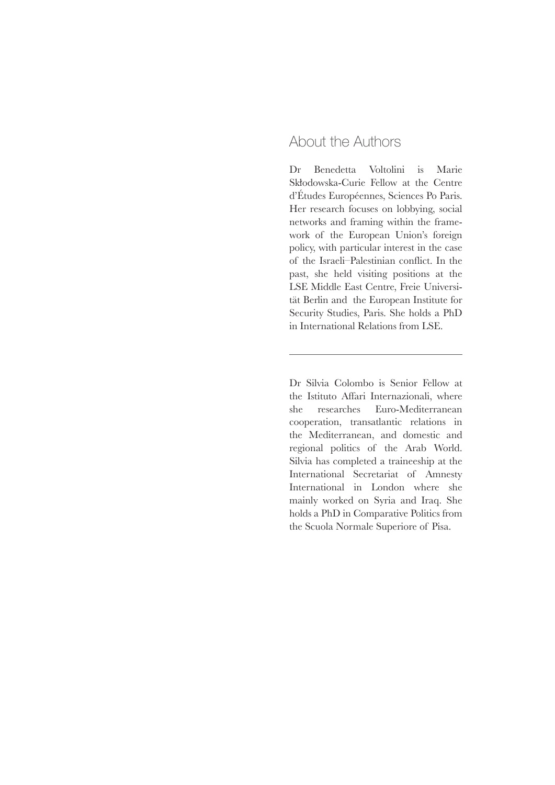#### About the Authors

Dr Benedetta Voltolini is Marie Skłodowska-Curie Fellow at the Centre d'Études Européennes, Sciences Po Paris. Her research focuses on lobbying, social networks and framing within the framework of the European Union's foreign policy, with particular interest in the case of the Israeli–Palestinian conflict. In the past, she held visiting positions at the LSE Middle East Centre, Freie Universität Berlin and the European Institute for Security Studies, Paris. She holds a PhD in International Relations from LSE.

Dr Silvia Colombo is Senior Fellow at the Istituto Affari Internazionali, where she researches Euro-Mediterranean cooperation, transatlantic relations in the Mediterranean, and domestic and regional politics of the Arab World. Silvia has completed a traineeship at the International Secretariat of Amnesty International in London where she mainly worked on Syria and Iraq. She holds a PhD in Comparative Politics from the Scuola Normale Superiore of Pisa.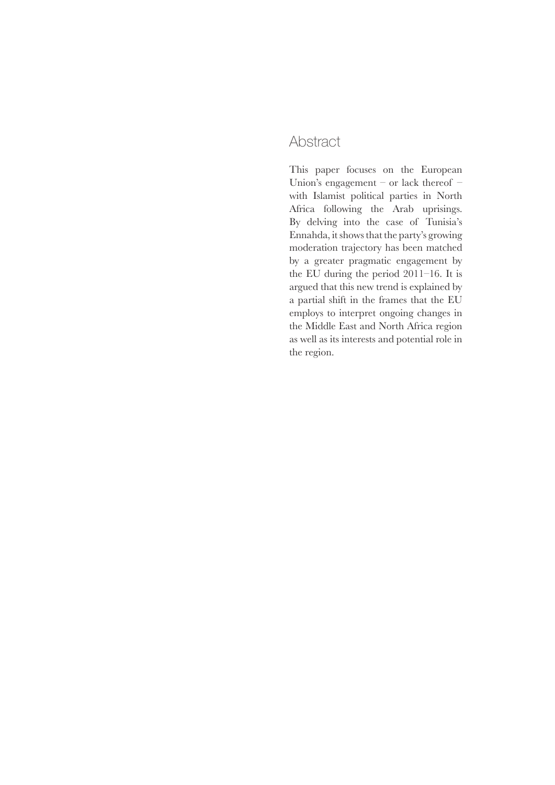#### **Abstract**

This paper focuses on the European Union's engagement – or lack thereof – with Islamist political parties in North Africa following the Arab uprisings. By delving into the case of Tunisia's Ennahda, it shows that the party's growing moderation trajectory has been matched by a greater pragmatic engagement by the EU during the period 2011–16. It is argued that this new trend is explained by a partial shift in the frames that the EU employs to interpret ongoing changes in the Middle East and North Africa region as well as its interests and potential role in the region.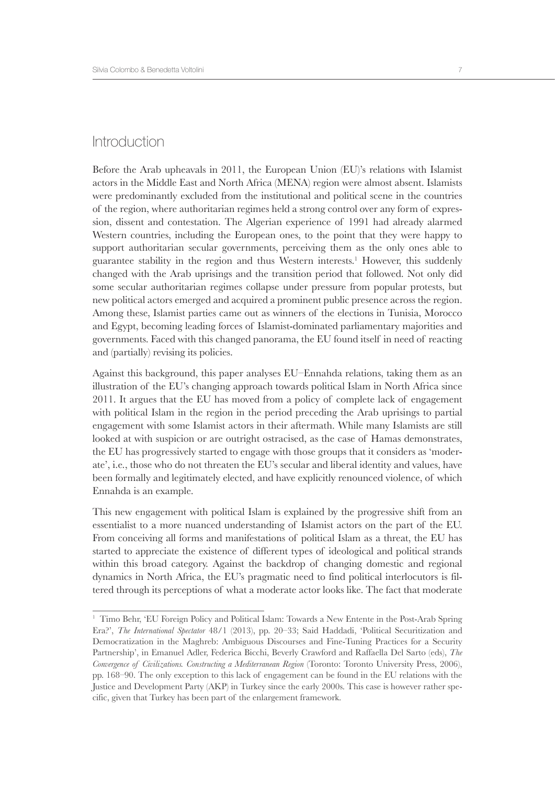#### **Introduction**

Before the Arab upheavals in 2011, the European Union (EU)'s relations with Islamist actors in the Middle East and North Africa (MENA) region were almost absent. Islamists were predominantly excluded from the institutional and political scene in the countries of the region, where authoritarian regimes held a strong control over any form of expression, dissent and contestation. The Algerian experience of 1991 had already alarmed Western countries, including the European ones, to the point that they were happy to support authoritarian secular governments, perceiving them as the only ones able to guarantee stability in the region and thus Western interests.<sup>1</sup> However, this suddenly changed with the Arab uprisings and the transition period that followed. Not only did some secular authoritarian regimes collapse under pressure from popular protests, but new political actors emerged and acquired a prominent public presence across the region. Among these, Islamist parties came out as winners of the elections in Tunisia, Morocco and Egypt, becoming leading forces of Islamist-dominated parliamentary majorities and governments. Faced with this changed panorama, the EU found itself in need of reacting and (partially) revising its policies.

Against this background, this paper analyses EU–Ennahda relations, taking them as an illustration of the EU's changing approach towards political Islam in North Africa since 2011. It argues that the EU has moved from a policy of complete lack of engagement with political Islam in the region in the period preceding the Arab uprisings to partial engagement with some Islamist actors in their aftermath. While many Islamists are still looked at with suspicion or are outright ostracised, as the case of Hamas demonstrates, the EU has progressively started to engage with those groups that it considers as 'moderate', i.e., those who do not threaten the EU's secular and liberal identity and values, have been formally and legitimately elected, and have explicitly renounced violence, of which Ennahda is an example.

This new engagement with political Islam is explained by the progressive shift from an essentialist to a more nuanced understanding of Islamist actors on the part of the EU. From conceiving all forms and manifestations of political Islam as a threat, the EU has started to appreciate the existence of different types of ideological and political strands within this broad category. Against the backdrop of changing domestic and regional dynamics in North Africa, the EU's pragmatic need to find political interlocutors is filtered through its perceptions of what a moderate actor looks like. The fact that moderate

<sup>1</sup> Timo Behr, 'EU Foreign Policy and Political Islam: Towards a New Entente in the Post-Arab Spring Era?', *The International Spectator* 48/1 (2013), pp. 20–33; Said Haddadi, 'Political Securitization and Democratization in the Maghreb: Ambiguous Discourses and Fine-Tuning Practices for a Security Partnership', in Emanuel Adler, Federica Bicchi, Beverly Crawford and Raffaella Del Sarto (eds), *The Convergence of Civilizations. Constructing a Mediterranean Region* (Toronto: Toronto University Press, 2006), pp. 168–90. The only exception to this lack of engagement can be found in the EU relations with the Justice and Development Party (AKP) in Turkey since the early 2000s. This case is however rather specific, given that Turkey has been part of the enlargement framework.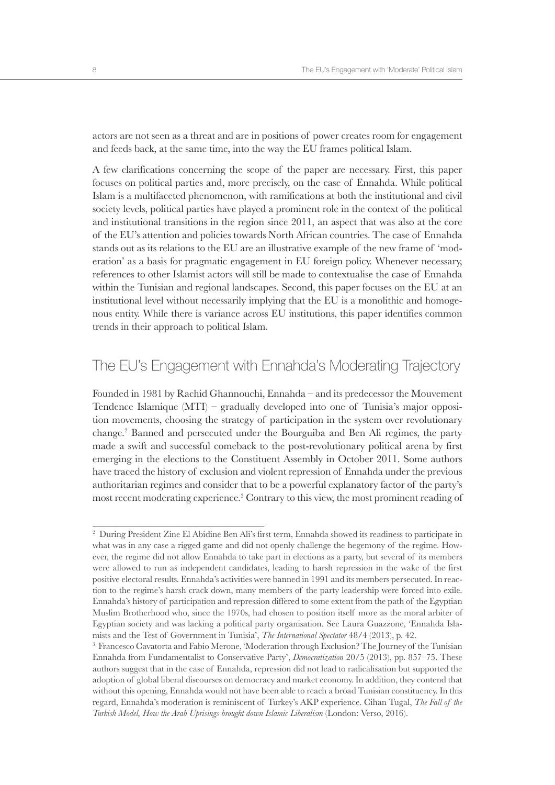actors are not seen as a threat and are in positions of power creates room for engagement and feeds back, at the same time, into the way the EU frames political Islam.

A few clarifications concerning the scope of the paper are necessary. First, this paper focuses on political parties and, more precisely, on the case of Ennahda. While political Islam is a multifaceted phenomenon, with ramifications at both the institutional and civil society levels, political parties have played a prominent role in the context of the political and institutional transitions in the region since 2011, an aspect that was also at the core of the EU's attention and policies towards North African countries. The case of Ennahda stands out as its relations to the EU are an illustrative example of the new frame of 'moderation' as a basis for pragmatic engagement in EU foreign policy. Whenever necessary, references to other Islamist actors will still be made to contextualise the case of Ennahda within the Tunisian and regional landscapes. Second, this paper focuses on the EU at an institutional level without necessarily implying that the EU is a monolithic and homogenous entity. While there is variance across EU institutions, this paper identifies common trends in their approach to political Islam.

#### The EU's Engagement with Ennahda's Moderating Trajectory

Founded in 1981 by Rachid Ghannouchi, Ennahda – and its predecessor the Mouvement Tendence Islamique (MTI) – gradually developed into one of Tunisia's major opposition movements, choosing the strategy of participation in the system over revolutionary change.2 Banned and persecuted under the Bourguiba and Ben Ali regimes, the party made a swift and successful comeback to the post-revolutionary political arena by first emerging in the elections to the Constituent Assembly in October 2011. Some authors have traced the history of exclusion and violent repression of Ennahda under the previous authoritarian regimes and consider that to be a powerful explanatory factor of the party's most recent moderating experience.3 Contrary to this view, the most prominent reading of

<sup>2</sup> During President Zine El Abidine Ben Ali's first term, Ennahda showed its readiness to participate in what was in any case a rigged game and did not openly challenge the hegemony of the regime. However, the regime did not allow Ennahda to take part in elections as a party, but several of its members were allowed to run as independent candidates, leading to harsh repression in the wake of the first positive electoral results. Ennahda's activities were banned in 1991 and its members persecuted. In reaction to the regime's harsh crack down, many members of the party leadership were forced into exile. Ennahda's history of participation and repression differed to some extent from the path of the Egyptian Muslim Brotherhood who, since the 1970s, had chosen to position itself more as the moral arbiter of Egyptian society and was lacking a political party organisation. See Laura Guazzone, 'Ennahda Islamists and the Test of Government in Tunisia', *The International Spectator* 48/4 (2013), p. 42. 3

<sup>&</sup>lt;sup>3</sup> Francesco Cavatorta and Fabio Merone, 'Moderation through Exclusion? The Journey of the Tunisian Ennahda from Fundamentalist to Conservative Party', *Democratization* 20/5 (2013), pp. 857–75. These authors suggest that in the case of Ennahda, repression did not lead to radicalisation but supported the adoption of global liberal discourses on democracy and market economy. In addition, they contend that without this opening, Ennahda would not have been able to reach a broad Tunisian constituency. In this regard, Ennahda's moderation is reminiscent of Turkey's AKP experience. Cihan Tugal, *The Fall of the Turkish Model, How the Arab Uprisings brought down Islamic Liberalism* (London: Verso, 2016).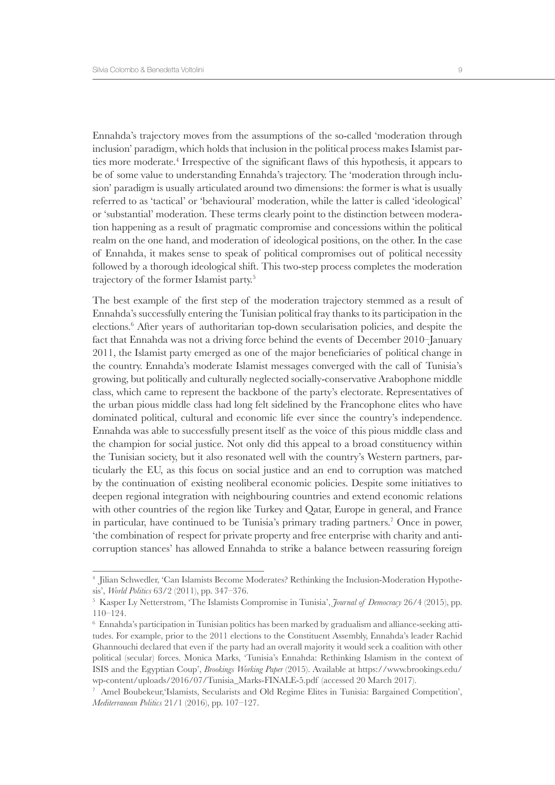Ennahda's trajectory moves from the assumptions of the so-called 'moderation through inclusion' paradigm, which holds that inclusion in the political process makes Islamist parties more moderate.<sup>4</sup> Irrespective of the significant flaws of this hypothesis, it appears to be of some value to understanding Ennahda's trajectory. The 'moderation through inclusion' paradigm is usually articulated around two dimensions: the former is what is usually referred to as 'tactical' or 'behavioural' moderation, while the latter is called 'ideological' or 'substantial' moderation. These terms clearly point to the distinction between moderation happening as a result of pragmatic compromise and concessions within the political realm on the one hand, and moderation of ideological positions, on the other. In the case of Ennahda, it makes sense to speak of political compromises out of political necessity followed by a thorough ideological shift. This two-step process completes the moderation trajectory of the former Islamist party.5

The best example of the first step of the moderation trajectory stemmed as a result of Ennahda's successfully entering the Tunisian political fray thanks to its participation in the elections.<sup>6</sup> After years of authoritarian top-down secularisation policies, and despite the fact that Ennahda was not a driving force behind the events of December 2010–January 2011, the Islamist party emerged as one of the major beneficiaries of political change in the country. Ennahda's moderate Islamist messages converged with the call of Tunisia's growing, but politically and culturally neglected socially-conservative Arabophone middle class, which came to represent the backbone of the party's electorate. Representatives of the urban pious middle class had long felt sidelined by the Francophone elites who have dominated political, cultural and economic life ever since the country's independence. Ennahda was able to successfully present itself as the voice of this pious middle class and the champion for social justice. Not only did this appeal to a broad constituency within the Tunisian society, but it also resonated well with the country's Western partners, particularly the EU, as this focus on social justice and an end to corruption was matched by the continuation of existing neoliberal economic policies. Despite some initiatives to deepen regional integration with neighbouring countries and extend economic relations with other countries of the region like Turkey and Qatar, Europe in general, and France in particular, have continued to be Tunisia's primary trading partners.<sup>7</sup> Once in power, 'the combination of respect for private property and free enterprise with charity and anticorruption stances' has allowed Ennahda to strike a balance between reassuring foreign

<sup>4</sup> Jilian Schwedler, 'Can Islamists Become Moderates? Rethinking the Inclusion-Moderation Hypothesis', *World Politics* 63/2 (2011), pp. 347–376.

<sup>5</sup> Kasper Ly Netterstrøm, 'The Islamists Compromise in Tunisia', *Journal of Democracy* 26/4 (2015), pp. 110–124.

<sup>6</sup> Ennahda's participation in Tunisian politics has been marked by gradualism and alliance-seeking attitudes. For example, prior to the 2011 elections to the Constituent Assembly, Ennahda's leader Rachid Ghannouchi declared that even if the party had an overall majority it would seek a coalition with other political (secular) forces. Monica Marks, 'Tunisia's Ennahda: Rethinking Islamism in the context of ISIS and the Egyptian Coup', *Brookings Working Paper* (2015). Available at https://www.brookings.edu/ wp-content/uploads/2016/07/Tunisia\_Marks-FINALE-5.pdf (accessed 20 March 2017).

<sup>7</sup> Amel Boubekeur,'Islamists, Secularists and Old Regime Elites in Tunisia: Bargained Competition', *Mediterranean Politics* 21/1 (2016), pp. 107–127.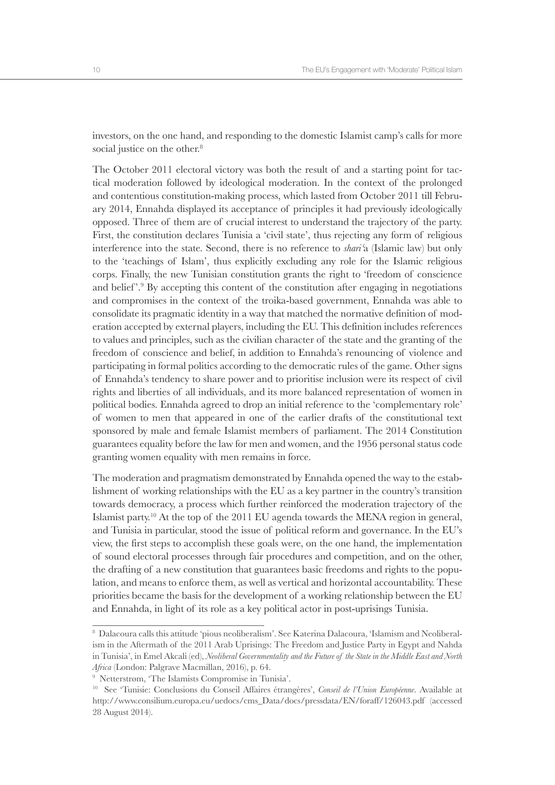investors, on the one hand, and responding to the domestic Islamist camp's calls for more social justice on the other.<sup>8</sup>

The October 2011 electoral victory was both the result of and a starting point for tactical moderation followed by ideological moderation. In the context of the prolonged and contentious constitution-making process, which lasted from October 2011 till February 2014, Ennahda displayed its acceptance of principles it had previously ideologically opposed. Three of them are of crucial interest to understand the trajectory of the party. First, the constitution declares Tunisia a 'civil state', thus rejecting any form of religious interference into the state. Second, there is no reference to *shariʿ*a (Islamic law) but only to the 'teachings of Islam', thus explicitly excluding any role for the Islamic religious corps. Finally, the new Tunisian constitution grants the right to 'freedom of conscience and belief'.<sup>9</sup> By accepting this content of the constitution after engaging in negotiations and compromises in the context of the troika-based government, Ennahda was able to consolidate its pragmatic identity in a way that matched the normative definition of moderation accepted by external players, including the EU. This definition includes references to values and principles, such as the civilian character of the state and the granting of the freedom of conscience and belief, in addition to Ennahda's renouncing of violence and participating in formal politics according to the democratic rules of the game. Other signs of Ennahda's tendency to share power and to prioritise inclusion were its respect of civil rights and liberties of all individuals, and its more balanced representation of women in political bodies. Ennahda agreed to drop an initial reference to the 'complementary role' of women to men that appeared in one of the earlier drafts of the constitutional text sponsored by male and female Islamist members of parliament. The 2014 Constitution guarantees equality before the law for men and women, and the 1956 personal status code granting women equality with men remains in force.

The moderation and pragmatism demonstrated by Ennahda opened the way to the establishment of working relationships with the EU as a key partner in the country's transition towards democracy, a process which further reinforced the moderation trajectory of the Islamist party.<sup>10</sup> At the top of the 2011 EU agenda towards the MENA region in general, and Tunisia in particular, stood the issue of political reform and governance. In the EU's view, the first steps to accomplish these goals were, on the one hand, the implementation of sound electoral processes through fair procedures and competition, and on the other, the drafting of a new constitution that guarantees basic freedoms and rights to the population, and means to enforce them, as well as vertical and horizontal accountability. These priorities became the basis for the development of a working relationship between the EU and Ennahda, in light of its role as a key political actor in post-uprisings Tunisia.

<sup>8</sup> Dalacoura calls this attitude 'pious neoliberalism'. See Katerina Dalacoura, 'Islamism and Neoliberalism in the Aftermath of the 2011 Arab Uprisings: The Freedom and Justice Party in Egypt and Nahda in Tunisia', in Emel Akcali (ed), *Neoliberal Governmentality and the Future of the State in the Middle East and North Africa* (London: Palgrave Macmillan, 2016), p. 64.

<sup>9</sup> Netterstrøm, 'The Islamists Compromise in Tunisia'.

<sup>10</sup> See 'Tunisie: Conclusions du Conseil Affaires étrangères', *Conseil de l'Union Européenne*. Available at http://www.consilium.europa.eu/uedocs/cms\_Data/docs/pressdata/EN/foraff/126043.pdf (accessed 28 August 2014).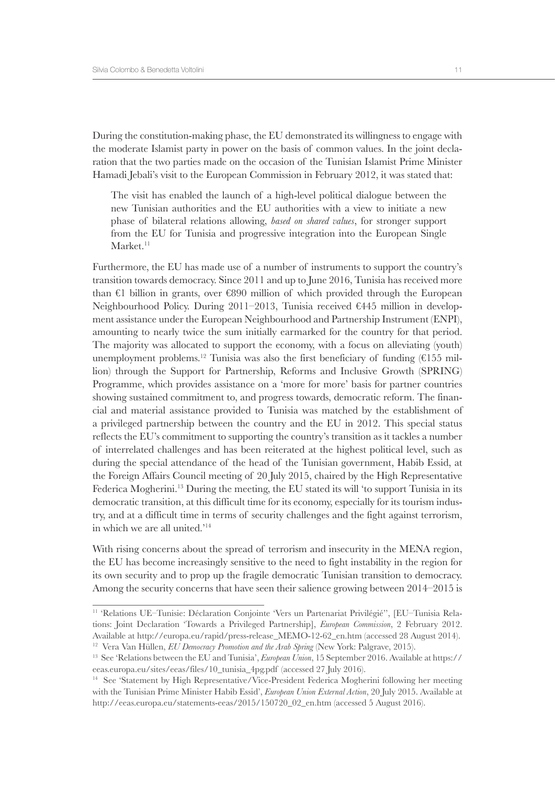During the constitution-making phase, the EU demonstrated its willingness to engage with the moderate Islamist party in power on the basis of common values. In the joint declaration that the two parties made on the occasion of the Tunisian Islamist Prime Minister Hamadi Jebali's visit to the European Commission in February 2012, it was stated that:

The visit has enabled the launch of a high-level political dialogue between the new Tunisian authorities and the EU authorities with a view to initiate a new phase of bilateral relations allowing, *based on shared values*, for stronger support from the EU for Tunisia and progressive integration into the European Single  $Market.<sup>11</sup>$ 

Furthermore, the EU has made use of a number of instruments to support the country's transition towards democracy. Since 2011 and up to June 2016, Tunisia has received more than  $\epsilon$ 1 billion in grants, over  $\epsilon$ 890 million of which provided through the European Neighbourhood Policy. During 2011–2013, Tunisia received €445 million in development assistance under the European Neighbourhood and Partnership Instrument (ENPI), amounting to nearly twice the sum initially earmarked for the country for that period. The majority was allocated to support the economy, with a focus on alleviating (youth) unemployment problems.<sup>12</sup> Tunisia was also the first beneficiary of funding  $(£155$  million) through the Support for Partnership, Reforms and Inclusive Growth (SPRING) Programme, which provides assistance on a 'more for more' basis for partner countries showing sustained commitment to, and progress towards, democratic reform. The financial and material assistance provided to Tunisia was matched by the establishment of a privileged partnership between the country and the EU in 2012. This special status reflects the EU's commitment to supporting the country's transition as it tackles a number of interrelated challenges and has been reiterated at the highest political level, such as during the special attendance of the head of the Tunisian government, Habib Essid, at the Foreign Affairs Council meeting of 20 July 2015, chaired by the High Representative Federica Mogherini.<sup>13</sup> During the meeting, the EU stated its will 'to support Tunisia in its democratic transition, at this difficult time for its economy, especially for its tourism industry, and at a difficult time in terms of security challenges and the fight against terrorism, in which we are all united.'14

With rising concerns about the spread of terrorism and insecurity in the MENA region, the EU has become increasingly sensitive to the need to fight instability in the region for its own security and to prop up the fragile democratic Tunisian transition to democracy. Among the security concerns that have seen their salience growing between 2014–2015 is

<sup>11</sup> 'Relations UE-Tunisie: Déclaration Conjointe 'Vers un Partenariat Privilégié'', [EU-Tunisia Relations: Joint Declaration 'Towards a Privileged Partnership], *European Commission*, 2 February 2012. Available at http://europa.eu/rapid/press-release\_MEMO-12-62\_en.htm (accessed 28 August 2014). <sup>12</sup> Vera Van Hüllen, *EU Democracy Promotion and the Arab Spring* (New York: Palgrave, 2015).

<sup>13</sup> See 'Relations between the EU and Tunisia', *European Union*, 15 September 2016. Available at https:// eeas.europa.eu/sites/eeas/files/10\_tunisia\_4pg.pdf (accessed 27 July 2016).

<sup>14</sup> See 'Statement by High Representative/Vice-President Federica Mogherini following her meeting with the Tunisian Prime Minister Habib Essid', *European Union External Action*, 20 July 2015. Available at http://eeas.europa.eu/statements-eeas/2015/150720\_02\_en.htm (accessed 5 August 2016).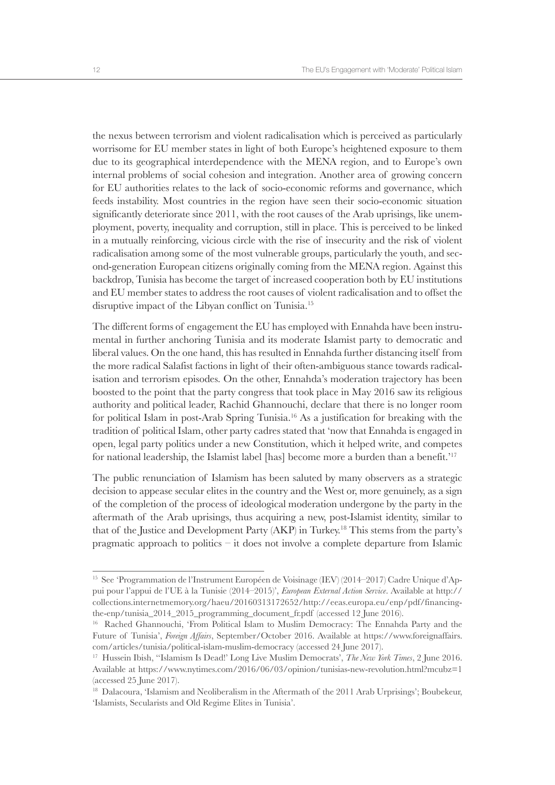the nexus between terrorism and violent radicalisation which is perceived as particularly worrisome for EU member states in light of both Europe's heightened exposure to them due to its geographical interdependence with the MENA region, and to Europe's own internal problems of social cohesion and integration. Another area of growing concern for EU authorities relates to the lack of socio-economic reforms and governance, which feeds instability. Most countries in the region have seen their socio-economic situation significantly deteriorate since 2011, with the root causes of the Arab uprisings, like unemployment, poverty, inequality and corruption, still in place. This is perceived to be linked in a mutually reinforcing, vicious circle with the rise of insecurity and the risk of violent radicalisation among some of the most vulnerable groups, particularly the youth, and second-generation European citizens originally coming from the MENA region. Against this backdrop, Tunisia has become the target of increased cooperation both by EU institutions and EU member states to address the root causes of violent radicalisation and to offset the disruptive impact of the Libyan conflict on Tunisia.<sup>15</sup>

The different forms of engagement the EU has employed with Ennahda have been instrumental in further anchoring Tunisia and its moderate Islamist party to democratic and liberal values. On the one hand, this has resulted in Ennahda further distancing itself from the more radical Salafist factions in light of their often-ambiguous stance towards radicalisation and terrorism episodes. On the other, Ennahda's moderation trajectory has been boosted to the point that the party congress that took place in May 2016 saw its religious authority and political leader, Rachid Ghannouchi, declare that there is no longer room for political Islam in post-Arab Spring Tunisia.<sup>16</sup> As a justification for breaking with the tradition of political Islam, other party cadres stated that 'now that Ennahda is engaged in open, legal party politics under a new Constitution, which it helped write, and competes for national leadership, the Islamist label [has] become more a burden than a benefit.'17

The public renunciation of Islamism has been saluted by many observers as a strategic decision to appease secular elites in the country and the West or, more genuinely, as a sign of the completion of the process of ideological moderation undergone by the party in the aftermath of the Arab uprisings, thus acquiring a new, post-Islamist identity, similar to that of the Justice and Development Party (AKP) in Turkey.18 This stems from the party's pragmatic approach to politics – it does not involve a complete departure from Islamic

<sup>15</sup> See 'Programmation de l'Instrument Européen de Voisinage (IEV) (2014–2017) Cadre Unique d'Appui pour l'appui de l'UE à la Tunisie (2014–2015)', *European External Action Service*. Available at http:// collections.internetmemory.org/haeu/20160313172652/http://eeas.europa.eu/enp/pdf/financingthe-enp/tunisia\_2014\_2015\_programming\_document\_fr.pdf (accessed 12 June 2016).

<sup>&</sup>lt;sup>16</sup> Rached Ghannouchi, 'From Political Islam to Muslim Democracy: The Ennahda Party and the Future of Tunisia', *Foreign Affairs*, September/October 2016. Available at https://www.foreignaffairs. com/articles/tunisia/political-islam-muslim-democracy (accessed 24 June 2017).

<sup>17</sup> Hussein Ibish, ''Islamism Is Dead!' Long Live Muslim Democrats', *The New York Times*, 2 June 2016. Available at https://www.nytimes.com/2016/06/03/opinion/tunisias-new-revolution.html?mcubz=1 (accessed 25 June 2017).

<sup>&</sup>lt;sup>18</sup> Dalacoura, 'Islamism and Neoliberalism in the Aftermath of the 2011 Arab Urprisings'; Boubekeur, 'Islamists, Secularists and Old Regime Elites in Tunisia'.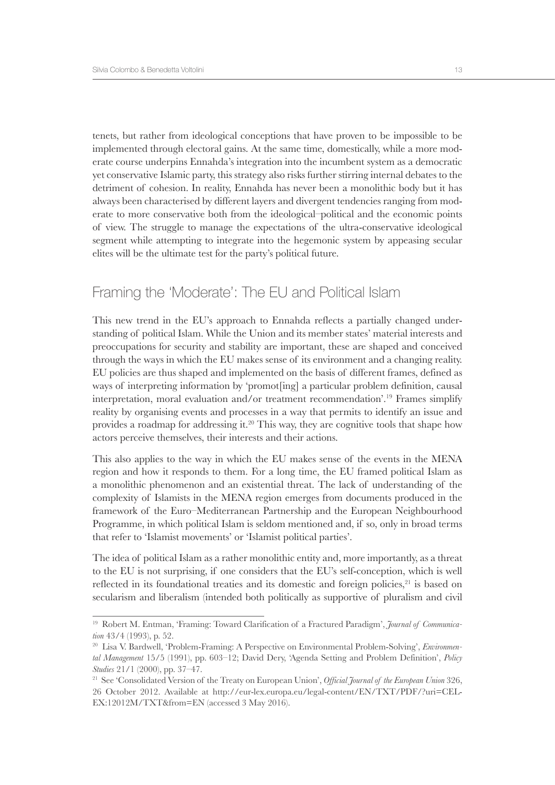tenets, but rather from ideological conceptions that have proven to be impossible to be implemented through electoral gains. At the same time, domestically, while a more moderate course underpins Ennahda's integration into the incumbent system as a democratic yet conservative Islamic party, this strategy also risks further stirring internal debates to the detriment of cohesion. In reality, Ennahda has never been a monolithic body but it has always been characterised by different layers and divergent tendencies ranging from moderate to more conservative both from the ideological–political and the economic points of view. The struggle to manage the expectations of the ultra-conservative ideological segment while attempting to integrate into the hegemonic system by appeasing secular elites will be the ultimate test for the party's political future.

#### Framing the 'Moderate': The EU and Political Islam

This new trend in the EU's approach to Ennahda reflects a partially changed understanding of political Islam. While the Union and its member states' material interests and preoccupations for security and stability are important, these are shaped and conceived through the ways in which the EU makes sense of its environment and a changing reality. EU policies are thus shaped and implemented on the basis of different frames, defined as ways of interpreting information by 'promot[ing] a particular problem definition, causal interpretation, moral evaluation and/or treatment recommendation'.19 Frames simplify reality by organising events and processes in a way that permits to identify an issue and provides a roadmap for addressing it.<sup>20</sup> This way, they are cognitive tools that shape how actors perceive themselves, their interests and their actions.

This also applies to the way in which the EU makes sense of the events in the MENA region and how it responds to them. For a long time, the EU framed political Islam as a monolithic phenomenon and an existential threat. The lack of understanding of the complexity of Islamists in the MENA region emerges from documents produced in the framework of the Euro–Mediterranean Partnership and the European Neighbourhood Programme, in which political Islam is seldom mentioned and, if so, only in broad terms that refer to 'Islamist movements' or 'Islamist political parties'.

The idea of political Islam as a rather monolithic entity and, more importantly, as a threat to the EU is not surprising, if one considers that the EU's self-conception, which is well reflected in its foundational treaties and its domestic and foreign policies, $2<sup>1</sup>$  is based on secularism and liberalism (intended both politically as supportive of pluralism and civil

<sup>&</sup>lt;sup>19</sup> Robert M. Entman, 'Framing: Toward Clarification of a Fractured Paradigm', *Journal of Communication* 43/4 (1993), p. 52.

<sup>20</sup> Lisa V. Bardwell, 'Problem-Framing: A Perspective on Environmental Problem-Solving', *Environmental Management* 15/5 (1991), pp. 603–12; David Dery, 'Agenda Setting and Problem Definition', *Policy Studies* 21/1 (2000), pp. 37–47.

<sup>21</sup> See 'Consolidated Version of the Treaty on European Union', *Official Journal of the European Union* 326, 26 October 2012. Available at http://eur-lex.europa.eu/legal-content/EN/TXT/PDF/?uri=CEL-EX:12012M/TXT&from=EN (accessed 3 May 2016).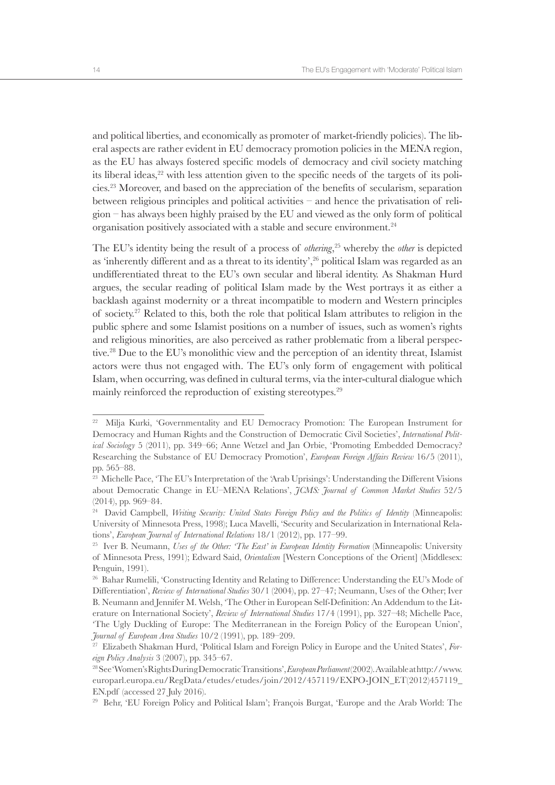and political liberties, and economically as promoter of market-friendly policies). The liberal aspects are rather evident in EU democracy promotion policies in the MENA region, as the EU has always fostered specific models of democracy and civil society matching its liberal ideas, $2<sup>2</sup>$  with less attention given to the specific needs of the targets of its policies.23 Moreover, and based on the appreciation of the benefits of secularism, separation between religious principles and political activities – and hence the privatisation of religion – has always been highly praised by the EU and viewed as the only form of political organisation positively associated with a stable and secure environment.<sup>24</sup>

The EU's identity being the result of a process of *othering*, 25 whereby the *other* is depicted as 'inherently different and as a threat to its identity',<sup>26</sup> political Islam was regarded as an undifferentiated threat to the EU's own secular and liberal identity. As Shakman Hurd argues, the secular reading of political Islam made by the West portrays it as either a backlash against modernity or a threat incompatible to modern and Western principles of society.27 Related to this, both the role that political Islam attributes to religion in the public sphere and some Islamist positions on a number of issues, such as women's rights and religious minorities, are also perceived as rather problematic from a liberal perspective.28 Due to the EU's monolithic view and the perception of an identity threat, Islamist actors were thus not engaged with. The EU's only form of engagement with political Islam, when occurring, was defined in cultural terms, via the inter-cultural dialogue which mainly reinforced the reproduction of existing stereotypes.<sup>29</sup>

<sup>&</sup>lt;sup>22</sup> Milia Kurki, 'Governmentality and EU Democracy Promotion: The European Instrument for Democracy and Human Rights and the Construction of Democratic Civil Societies', *International Political Sociology* 5 (2011), pp. 349–66; Anne Wetzel and Jan Orbie, 'Promoting Embedded Democracy? Researching the Substance of EU Democracy Promotion', *European Foreign Affairs Review* 16/5 (2011), pp. 565–88.

<sup>&</sup>lt;sup>23</sup> Michelle Pace, 'The EU's Interpretation of the 'Arab Uprisings': Understanding the Different Visions about Democratic Change in EU–MENA Relations', *JCMS: Journal of Common Market Studies* 52/5 (2014), pp. 969–84.

<sup>&</sup>lt;sup>24</sup> David Campbell, *Writing Security: United States Foreign Policy and the Politics of Identity (Minneapolis:* University of Minnesota Press, 1998); Luca Mavelli, 'Security and Secularization in International Relations', *European Journal of International Relations* 18/1 (2012), pp. 177–99.

<sup>25</sup> Iver B. Neumann, *Uses of the Other: 'The East' in European Identity Formation* (Minneapolis: University of Minnesota Press, 1991); Edward Said, *Orientalism* [Western Conceptions of the Orient] (Middlesex: Penguin, 1991).

<sup>26</sup> Bahar Rumelili, 'Constructing Identity and Relating to Difference: Understanding the EU's Mode of Differentiation', *Review of International Studies* 30/1 (2004), pp. 27–47; Neumann, Uses of the Other; Iver B. Neumann and Jennifer M. Welsh, 'The Other in European Self-Definition: An Addendum to the Literature on International Society', *Review of International Studies* 17/4 (1991), pp. 327–48; Michelle Pace, 'The Ugly Duckling of Europe: The Mediterranean in the Foreign Policy of the European Union', *Journal of European Area Studies* 10/2 (1991), pp. 189–209.

<sup>27</sup> Elizabeth Shakman Hurd, 'Political Islam and Foreign Policy in Europe and the United States', *Foreign Policy Analysis* 3 (2007), pp. 345–67.

<sup>28</sup> See 'Women's Rights During Democratic Transitions', *European Parliament* (2002). Available at http://www. europarl.europa.eu/RegData/etudes/etudes/join/2012/457119/EXPO-JOIN\_ET(2012)457119\_ EN.pdf (accessed 27 July 2016).

<sup>29</sup> Behr, 'EU Foreign Policy and Political Islam'; François Burgat, 'Europe and the Arab World: The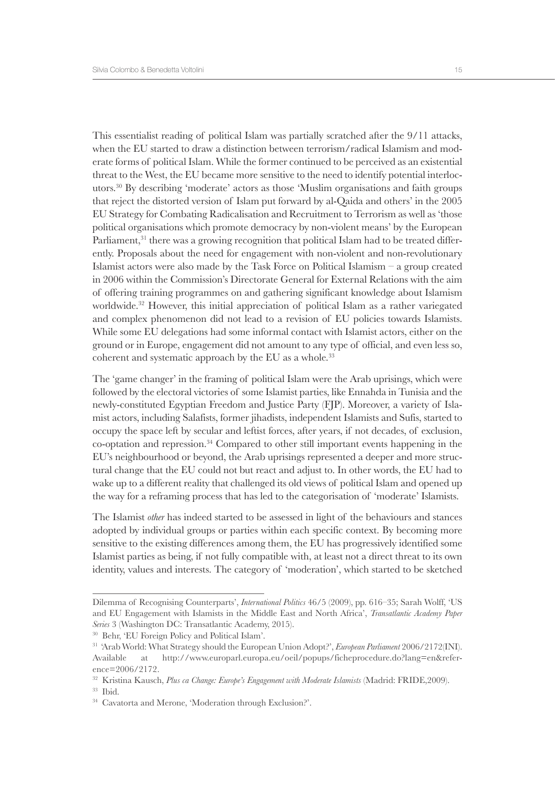This essentialist reading of political Islam was partially scratched after the 9/11 attacks, when the EU started to draw a distinction between terrorism/radical Islamism and moderate forms of political Islam. While the former continued to be perceived as an existential threat to the West, the EU became more sensitive to the need to identify potential interlocutors.30 By describing 'moderate' actors as those 'Muslim organisations and faith groups that reject the distorted version of Islam put forward by al-Qaida and others' in the 2005 EU Strategy for Combating Radicalisation and Recruitment to Terrorism as well as 'those political organisations which promote democracy by non-violent means' by the European Parliament,<sup>31</sup> there was a growing recognition that political Islam had to be treated differently. Proposals about the need for engagement with non-violent and non-revolutionary Islamist actors were also made by the Task Force on Political Islamism – a group created in 2006 within the Commission's Directorate General for External Relations with the aim of offering training programmes on and gathering significant knowledge about Islamism worldwide.<sup>32</sup> However, this initial appreciation of political Islam as a rather variegated and complex phenomenon did not lead to a revision of EU policies towards Islamists. While some EU delegations had some informal contact with Islamist actors, either on the ground or in Europe, engagement did not amount to any type of official, and even less so, coherent and systematic approach by the EU as a whole.<sup>33</sup>

The 'game changer' in the framing of political Islam were the Arab uprisings, which were followed by the electoral victories of some Islamist parties, like Ennahda in Tunisia and the newly-constituted Egyptian Freedom and Justice Party (FJP). Moreover, a variety of Islamist actors, including Salafists, former jihadists, independent Islamists and Sufis, started to occupy the space left by secular and leftist forces, after years, if not decades, of exclusion, co-optation and repression.34 Compared to other still important events happening in the EU's neighbourhood or beyond, the Arab uprisings represented a deeper and more structural change that the EU could not but react and adjust to. In other words, the EU had to wake up to a different reality that challenged its old views of political Islam and opened up the way for a reframing process that has led to the categorisation of 'moderate' Islamists.

The Islamist *other* has indeed started to be assessed in light of the behaviours and stances adopted by individual groups or parties within each specific context. By becoming more sensitive to the existing differences among them, the EU has progressively identified some Islamist parties as being, if not fully compatible with, at least not a direct threat to its own identity, values and interests. The category of 'moderation', which started to be sketched

Dilemma of Recognising Counterparts', *International Politics* 46/5 (2009), pp. 616–35; Sarah Wolff, 'US and EU Engagement with Islamists in the Middle East and North Africa', *Transatlantic Academy Paper Series* 3 (Washington DC: Transatlantic Academy, 2015).

<sup>30</sup> Behr, 'EU Foreign Policy and Political Islam'.

<sup>31 &#</sup>x27;Arab World: What Strategy should the European Union Adopt?', *European Parliament* 2006/2172(INI). Available at http://www.europarl.europa.eu/oeil/popups/ficheprocedure.do?lang=en&reference=2006/2172.

<sup>32</sup> Kristina Kausch, *Plus ca Change: Europe's Engagement with Moderate Islamists* (Madrid: FRIDE,2009).

<sup>33</sup> Ibid.

<sup>34</sup> Cavatorta and Merone, 'Moderation through Exclusion?'.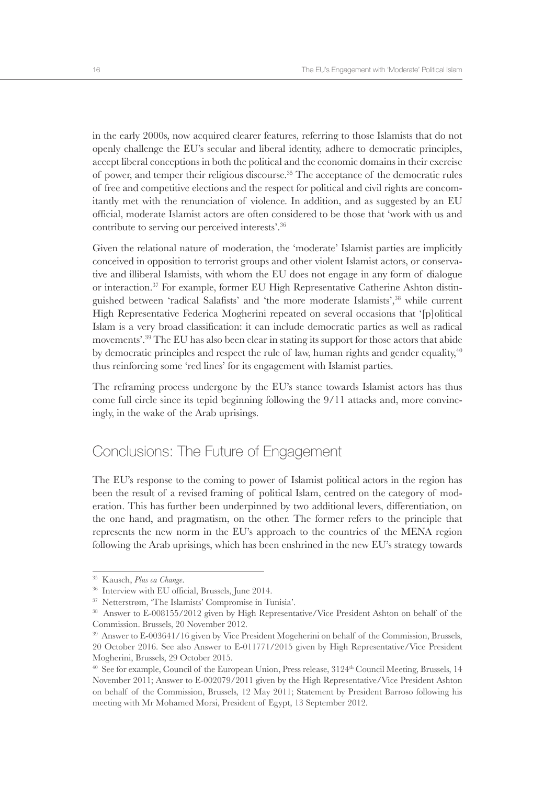in the early 2000s, now acquired clearer features, referring to those Islamists that do not openly challenge the EU's secular and liberal identity, adhere to democratic principles, accept liberal conceptions in both the political and the economic domains in their exercise of power, and temper their religious discourse.35 The acceptance of the democratic rules of free and competitive elections and the respect for political and civil rights are concomitantly met with the renunciation of violence. In addition, and as suggested by an EU official, moderate Islamist actors are often considered to be those that 'work with us and contribute to serving our perceived interests'.36

Given the relational nature of moderation, the 'moderate' Islamist parties are implicitly conceived in opposition to terrorist groups and other violent Islamist actors, or conservative and illiberal Islamists, with whom the EU does not engage in any form of dialogue or interaction.37 For example, former EU High Representative Catherine Ashton distinguished between 'radical Salafists' and 'the more moderate Islamists',38 while current High Representative Federica Mogherini repeated on several occasions that '[p]olitical Islam is a very broad classification: it can include democratic parties as well as radical movements'.39 The EU has also been clear in stating its support for those actors that abide by democratic principles and respect the rule of law, human rights and gender equality,<sup>40</sup> thus reinforcing some 'red lines' for its engagement with Islamist parties.

The reframing process undergone by the EU's stance towards Islamist actors has thus come full circle since its tepid beginning following the 9/11 attacks and, more convincingly, in the wake of the Arab uprisings.

#### Conclusions: The Future of Engagement

The EU's response to the coming to power of Islamist political actors in the region has been the result of a revised framing of political Islam, centred on the category of moderation. This has further been underpinned by two additional levers, differentiation, on the one hand, and pragmatism, on the other. The former refers to the principle that represents the new norm in the EU's approach to the countries of the MENA region following the Arab uprisings, which has been enshrined in the new EU's strategy towards

<sup>35</sup> Kausch, *Plus ca Change*.

<sup>&</sup>lt;sup>36</sup> Interview with EU official, Brussels, June 2014.

<sup>37</sup> Netterstrøm, 'The Islamists' Compromise in Tunisia'.

<sup>38</sup> Answer to E-008155/2012 given by High Representative/Vice President Ashton on behalf of the Commission. Brussels, 20 November 2012.

<sup>39</sup> Answer to E-003641/16 given by Vice President Mogeherini on behalf of the Commission, Brussels, 20 October 2016. See also Answer to E-011771/2015 given by High Representative/Vice President Mogherini, Brussels, 29 October 2015.

<sup>&</sup>lt;sup>40</sup> See for example, Council of the European Union, Press release, 3124<sup>th</sup> Council Meeting, Brussels, 14 November 2011; Answer to E-002079/2011 given by the High Representative/Vice President Ashton on behalf of the Commission, Brussels, 12 May 2011; Statement by President Barroso following his meeting with Mr Mohamed Morsi, President of Egypt, 13 September 2012.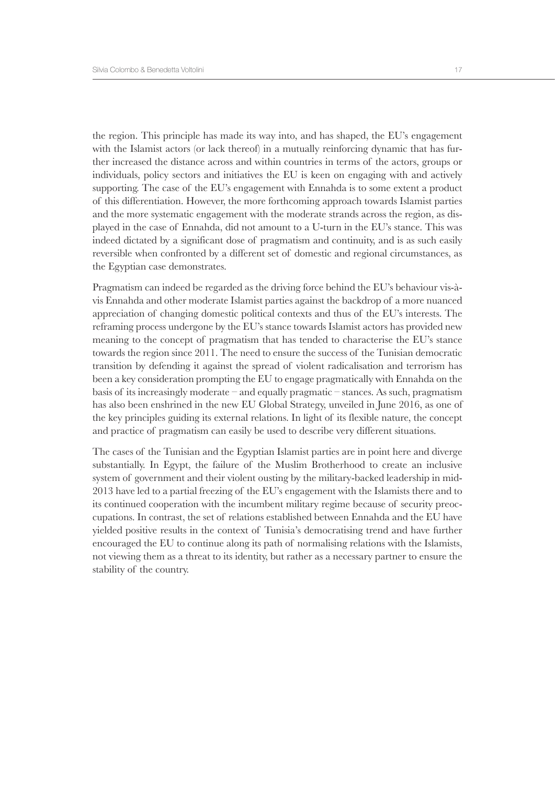the region. This principle has made its way into, and has shaped, the EU's engagement with the Islamist actors (or lack thereof) in a mutually reinforcing dynamic that has further increased the distance across and within countries in terms of the actors, groups or individuals, policy sectors and initiatives the EU is keen on engaging with and actively supporting. The case of the EU's engagement with Ennahda is to some extent a product of this differentiation. However, the more forthcoming approach towards Islamist parties and the more systematic engagement with the moderate strands across the region, as displayed in the case of Ennahda, did not amount to a U-turn in the EU's stance. This was indeed dictated by a significant dose of pragmatism and continuity, and is as such easily reversible when confronted by a different set of domestic and regional circumstances, as the Egyptian case demonstrates.

Pragmatism can indeed be regarded as the driving force behind the EU's behaviour vis-àvis Ennahda and other moderate Islamist parties against the backdrop of a more nuanced appreciation of changing domestic political contexts and thus of the EU's interests. The reframing process undergone by the EU's stance towards Islamist actors has provided new meaning to the concept of pragmatism that has tended to characterise the EU's stance towards the region since 2011. The need to ensure the success of the Tunisian democratic transition by defending it against the spread of violent radicalisation and terrorism has been a key consideration prompting the EU to engage pragmatically with Ennahda on the basis of its increasingly moderate – and equally pragmatic – stances. As such, pragmatism has also been enshrined in the new EU Global Strategy, unveiled in June 2016, as one of the key principles guiding its external relations. In light of its flexible nature, the concept and practice of pragmatism can easily be used to describe very different situations.

The cases of the Tunisian and the Egyptian Islamist parties are in point here and diverge substantially. In Egypt, the failure of the Muslim Brotherhood to create an inclusive system of government and their violent ousting by the military-backed leadership in mid-2013 have led to a partial freezing of the EU's engagement with the Islamists there and to its continued cooperation with the incumbent military regime because of security preoccupations. In contrast, the set of relations established between Ennahda and the EU have yielded positive results in the context of Tunisia's democratising trend and have further encouraged the EU to continue along its path of normalising relations with the Islamists, not viewing them as a threat to its identity, but rather as a necessary partner to ensure the stability of the country.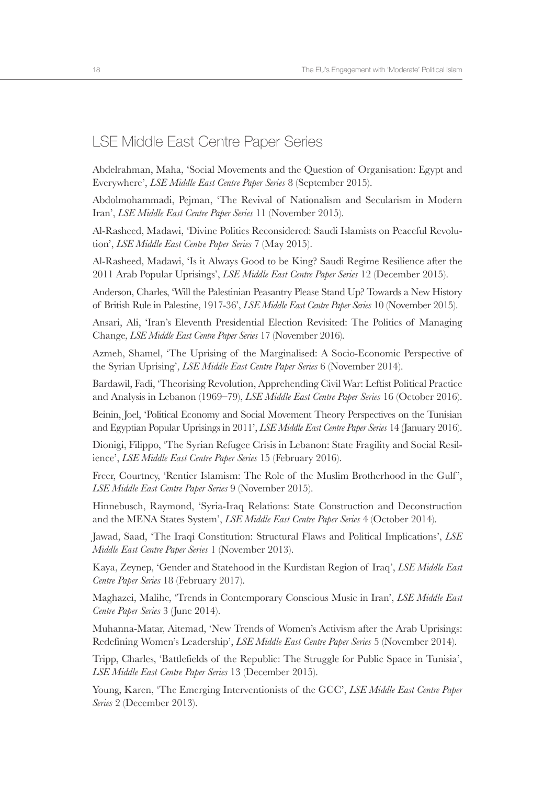#### LSE Middle East Centre Paper Series

Abdelrahman, Maha, 'Social Movements and the Question of Organisation: Egypt and Everywhere', *LSE Middle East Centre Paper Series* 8 (September 2015).

Abdolmohammadi, Pejman, 'The Revival of Nationalism and Secularism in Modern Iran', *LSE Middle East Centre Paper Series* 11 (November 2015).

Al-Rasheed, Madawi, 'Divine Politics Reconsidered: Saudi Islamists on Peaceful Revolution', *LSE Middle East Centre Paper Series* 7 (May 2015).

Al-Rasheed, Madawi, 'Is it Always Good to be King? Saudi Regime Resilience after the 2011 Arab Popular Uprisings', *LSE Middle East Centre Paper Series* 12 (December 2015).

Anderson, Charles, 'Will the Palestinian Peasantry Please Stand Up? Towards a New History of British Rule in Palestine, 1917-36', *LSE Middle East Centre Paper Series* 10 (November 2015).

Ansari, Ali, 'Iran's Eleventh Presidential Election Revisited: The Politics of Managing Change, *LSE Middle East Centre Paper Series* 17 (November 2016).

Azmeh, Shamel, 'The Uprising of the Marginalised: A Socio-Economic Perspective of the Syrian Uprising', *LSE Middle East Centre Paper Series* 6 (November 2014).

Bardawil, Fadi, 'Theorising Revolution, Apprehending Civil War: Leftist Political Practice and Analysis in Lebanon (1969–79), *LSE Middle East Centre Paper Series* 16 (October 2016).

Beinin, Joel, 'Political Economy and Social Movement Theory Perspectives on the Tunisian and Egyptian Popular Uprisings in 2011', *LSE Middle East Centre Paper Series* 14 (January 2016).

Dionigi, Filippo, 'The Syrian Refugee Crisis in Lebanon: State Fragility and Social Resilience', *LSE Middle East Centre Paper Series* 15 (February 2016).

Freer, Courtney, 'Rentier Islamism: The Role of the Muslim Brotherhood in the Gulf ', *LSE Middle East Centre Paper Series* 9 (November 2015).

Hinnebusch, Raymond, 'Syria-Iraq Relations: State Construction and Deconstruction and the MENA States System', *LSE Middle East Centre Paper Series* 4 (October 2014).

Jawad, Saad, 'The Iraqi Constitution: Structural Flaws and Political Implications', *LSE Middle East Centre Paper Series* 1 (November 2013).

Kaya, Zeynep, 'Gender and Statehood in the Kurdistan Region of Iraq', *LSE Middle East Centre Paper Series* 18 (February 2017).

Maghazei, Malihe, 'Trends in Contemporary Conscious Music in Iran', *LSE Middle East Centre Paper Series* 3 (June 2014).

Muhanna-Matar, Aitemad, 'New Trends of Women's Activism after the Arab Uprisings: Redefining Women's Leadership', *LSE Middle East Centre Paper Series* 5 (November 2014).

Tripp, Charles, 'Battlefields of the Republic: The Struggle for Public Space in Tunisia', *LSE Middle East Centre Paper Series* 13 (December 2015).

Young, Karen, 'The Emerging Interventionists of the GCC', *LSE Middle East Centre Paper Series* 2 (December 2013).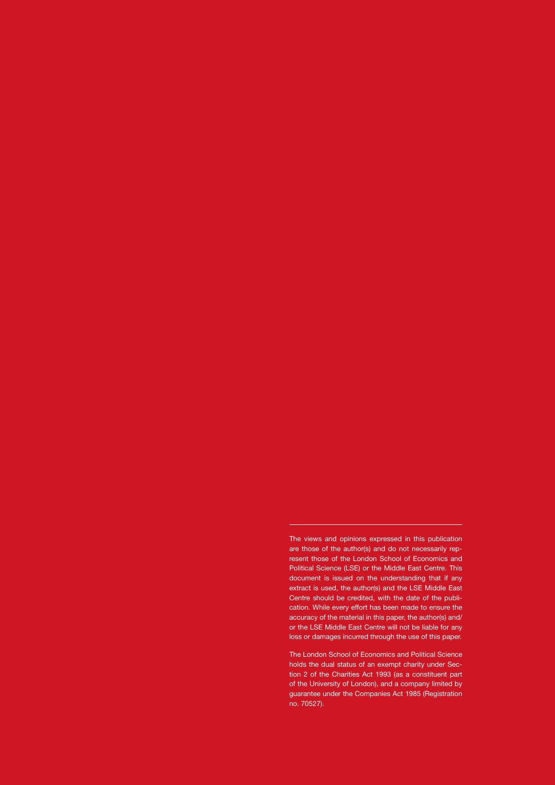The views and opinions expressed in this publication are those of the author(s) and do not necessarily represent those of the London School of Economics and Political Science (LSE) or the Middle East Centre. This document is issued on the understanding that if any extract is used, the author(s) and the LSE Middle East Centre should be credited, with the date of the publication. While every effort has been made to ensure the accuracy of the material in this paper, the author(s) and/ or the LSE Middle East Centre will not be liable for any loss or damages incurred through the use of this paper.

The London School of Economics and Political Science holds the dual status of an exempt charity under Section 2 of the Charities Act 1993 (as a constituent part of the University of London), and a company limited by guarantee under the Companies Act 1985 (Registration no. 70527).